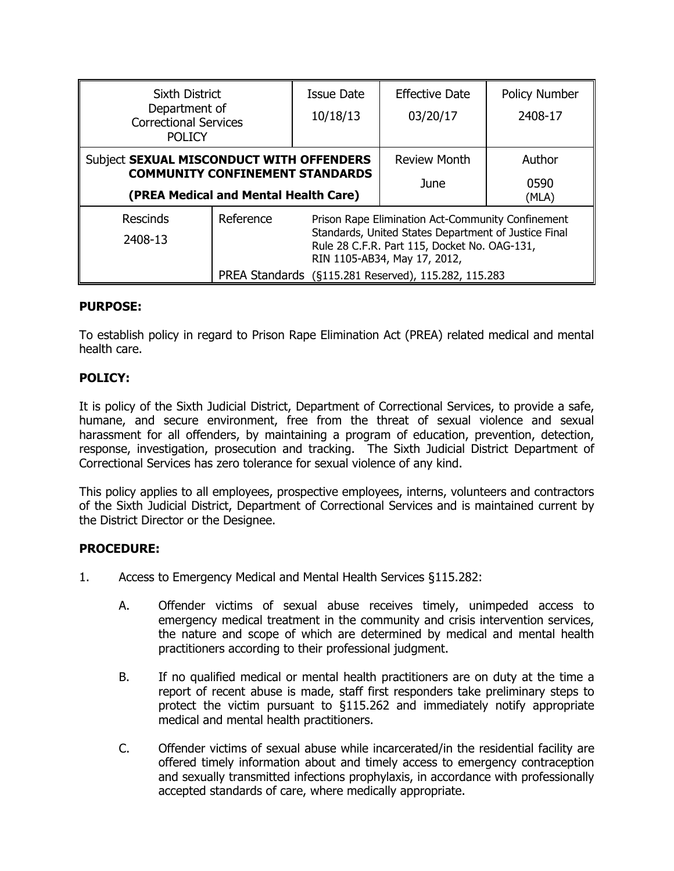| <b>Sixth District</b>                                                                                                       |                                                                | <b>Issue Date</b>                                                                                                                    | <b>Effective Date</b> | <b>Policy Number</b> |
|-----------------------------------------------------------------------------------------------------------------------------|----------------------------------------------------------------|--------------------------------------------------------------------------------------------------------------------------------------|-----------------------|----------------------|
| Department of<br><b>Correctional Services</b>                                                                               |                                                                | 10/18/13                                                                                                                             | 03/20/17              | 2408-17              |
| <b>POLICY</b>                                                                                                               |                                                                |                                                                                                                                      |                       |                      |
| Subject SEXUAL MISCONDUCT WITH OFFENDERS<br><b>COMMUNITY CONFINEMENT STANDARDS</b><br>(PREA Medical and Mental Health Care) |                                                                |                                                                                                                                      | <b>Review Month</b>   | Author               |
|                                                                                                                             |                                                                |                                                                                                                                      | June                  | 0590<br>(MLA)        |
| <b>Rescinds</b>                                                                                                             | Reference<br>Prison Rape Elimination Act-Community Confinement |                                                                                                                                      |                       |                      |
| 2408-13                                                                                                                     |                                                                | Standards, United States Department of Justice Final<br>Rule 28 C.F.R. Part 115, Docket No. OAG-131,<br>RIN 1105-AB34, May 17, 2012, |                       |                      |
|                                                                                                                             | PREA Standards (§115.281 Reserved), 115.282, 115.283           |                                                                                                                                      |                       |                      |

# **PURPOSE:**

To establish policy in regard to Prison Rape Elimination Act (PREA) related medical and mental health care.

# **POLICY:**

It is policy of the Sixth Judicial District, Department of Correctional Services, to provide a safe, humane, and secure environment, free from the threat of sexual violence and sexual harassment for all offenders, by maintaining a program of education, prevention, detection, response, investigation, prosecution and tracking. The Sixth Judicial District Department of Correctional Services has zero tolerance for sexual violence of any kind.

This policy applies to all employees, prospective employees, interns, volunteers and contractors of the Sixth Judicial District, Department of Correctional Services and is maintained current by the District Director or the Designee.

### **PROCEDURE:**

- 1. Access to Emergency Medical and Mental Health Services §115.282:
	- A. Offender victims of sexual abuse receives timely, unimpeded access to emergency medical treatment in the community and crisis intervention services, the nature and scope of which are determined by medical and mental health practitioners according to their professional judgment.
	- B. If no qualified medical or mental health practitioners are on duty at the time a report of recent abuse is made, staff first responders take preliminary steps to protect the victim pursuant to §115.262 and immediately notify appropriate medical and mental health practitioners.
	- C. Offender victims of sexual abuse while incarcerated/in the residential facility are offered timely information about and timely access to emergency contraception and sexually transmitted infections prophylaxis, in accordance with professionally accepted standards of care, where medically appropriate.